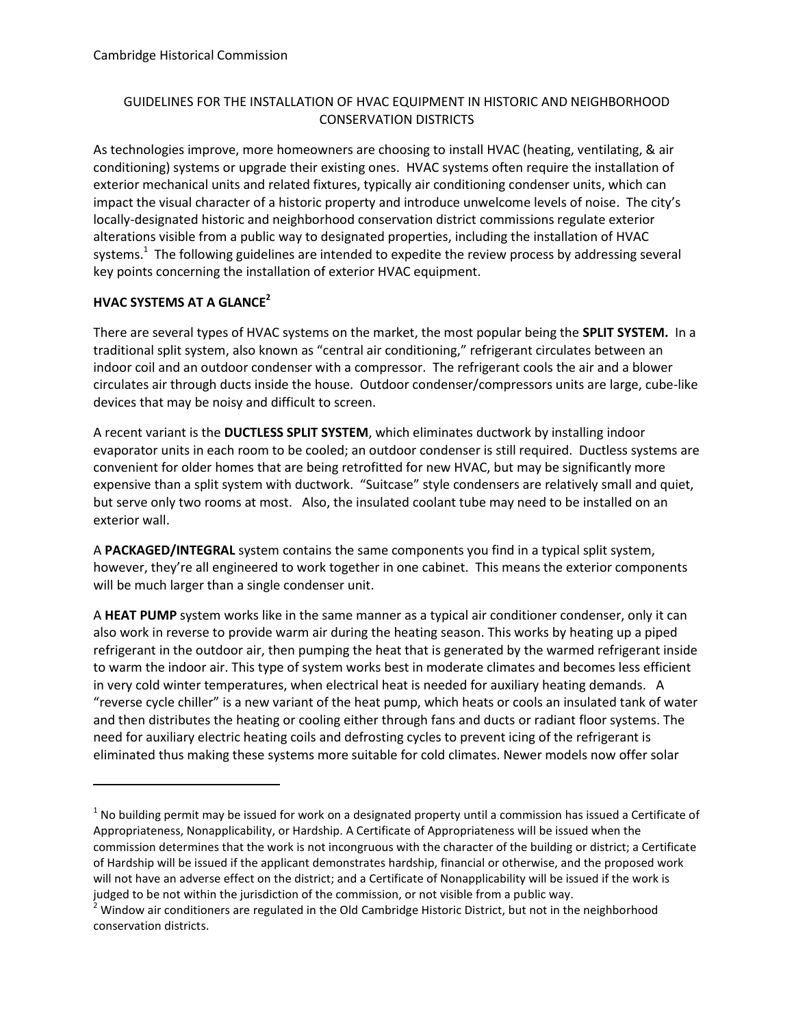# GUIDELINES FOR THE INSTALLATION OF HVAC EQUIPMENT IN HISTORIC AND NEIGHBORHOOD CONSERVATION DISTRICTS

As technologies improve, more homeowners are choosing to install HVAC (heating, ventilating, & air conditioning) systems or upgrade their existing ones. HVAC systems often require the installation of exterior mechanical units and related fixtures, typically air conditioning condenser units, which can impact the visual character of a historic property and introduce unwelcome levels of noise. The city's locally-designated historic and neighborhood conservation district commissions regulate exterior alterations visible from a public way to designated properties, including the installation of HVAC systems.<sup>1</sup> The following guidelines are intended to expedite the review process by addressing several key points concerning the installation of exterior HVAC equipment.

# **HVAC SYSTEMS AT A GLANCE<sup>2</sup>**

 $\overline{a}$ 

There are several types of HVAC systems on the market, the most popular being the **SPLIT SYSTEM.** In a traditional split system, also known as "central air conditioning," refrigerant circulates between an indoor coil and an outdoor condenser with a compressor. The refrigerant cools the air and a blower circulates air through ducts inside the house. Outdoor condenser/compressors units are large, cube-like devices that may be noisy and difficult to screen.

A recent variant is the **DUCTLESS SPLIT SYSTEM**, which eliminates ductwork by installing indoor evaporator units in each room to be cooled; an outdoor condenser is still required. Ductless systems are convenient for older homes that are being retrofitted for new HVAC, but may be significantly more expensive than a split system with ductwork. "Suitcase" style condensers are relatively small and quiet, but serve only two rooms at most. Also, the insulated coolant tube may need to be installed on an exterior wall.

A **PACKAGED/INTEGRAL** system contains the same components you find in a typical split system, however, they're all engineered to work together in one cabinet. This means the exterior components will be much larger than a single condenser unit.

A **HEAT PUMP** system works like in the same manner as a typical air conditioner condenser, only it can also work in reverse to provide warm air during the heating season. This works by heating up a piped refrigerant in the outdoor air, then pumping the heat that is generated by the warmed refrigerant inside to warm the indoor air. This type of system works best in moderate climates and becomes less efficient in very cold winter temperatures, when electrical heat is needed for auxiliary heating demands. A "reverse cycle chiller" is a new variant of the heat pump, which heats or cools an insulated tank of water and then distributes the heating or cooling either through fans and ducts or radiant floor systems. The need for auxiliary electric heating coils and defrosting cycles to prevent icing of the refrigerant is eliminated thus making these systems more suitable for cold climates. Newer models now offer solar

 $^1$  No building permit may be issued for work on a designated property until a commission has issued a Certificate of Appropriateness, Nonapplicability, or Hardship. A Certificate of Appropriateness will be issued when the commission determines that the work is not incongruous with the character of the building or district; a Certificate of Hardship will be issued if the applicant demonstrates hardship, financial or otherwise, and the proposed work will not have an adverse effect on the district; and a Certificate of Nonapplicability will be issued if the work is judged to be not within the jurisdiction of the commission, or not visible from a public way.

 $2$  Window air conditioners are regulated in the Old Cambridge Historic District, but not in the neighborhood conservation districts.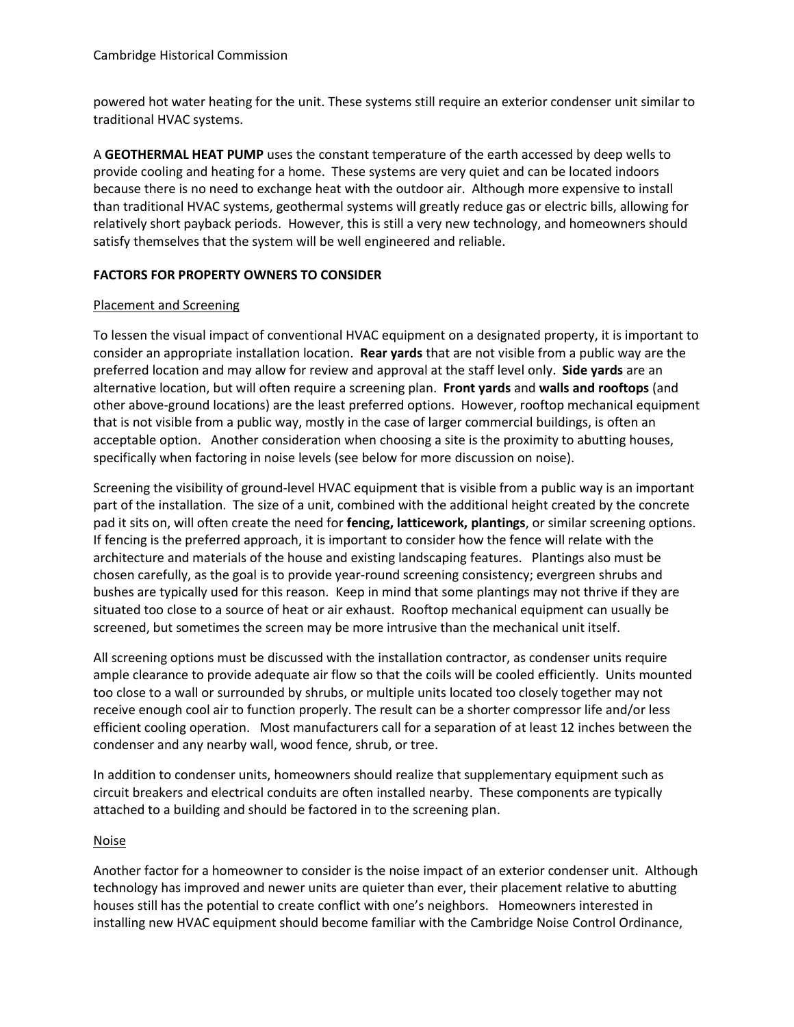powered hot water heating for the unit. These systems still require an exterior condenser unit similar to traditional HVAC systems.

A **GEOTHERMAL HEAT PUMP** uses the constant temperature of the earth accessed by deep wells to provide cooling and heating for a home. These systems are very quiet and can be located indoors because there is no need to exchange heat with the outdoor air. Although more expensive to install than traditional HVAC systems, geothermal systems will greatly reduce gas or electric bills, allowing for relatively short payback periods. However, this is still a very new technology, and homeowners should satisfy themselves that the system will be well engineered and reliable.

#### **FACTORS FOR PROPERTY OWNERS TO CONSIDER**

#### Placement and Screening

To lessen the visual impact of conventional HVAC equipment on a designated property, it is important to consider an appropriate installation location. **Rear yards** that are not visible from a public way are the preferred location and may allow for review and approval at the staff level only. **Side yards** are an alternative location, but will often require a screening plan. **Front yards** and **walls and rooftops** (and other above-ground locations) are the least preferred options. However, rooftop mechanical equipment that is not visible from a public way, mostly in the case of larger commercial buildings, is often an acceptable option. Another consideration when choosing a site is the proximity to abutting houses, specifically when factoring in noise levels (see below for more discussion on noise).

Screening the visibility of ground-level HVAC equipment that is visible from a public way is an important part of the installation. The size of a unit, combined with the additional height created by the concrete pad it sits on, will often create the need for **fencing, latticework, plantings**, or similar screening options. If fencing is the preferred approach, it is important to consider how the fence will relate with the architecture and materials of the house and existing landscaping features. Plantings also must be chosen carefully, as the goal is to provide year-round screening consistency; evergreen shrubs and bushes are typically used for this reason. Keep in mind that some plantings may not thrive if they are situated too close to a source of heat or air exhaust. Rooftop mechanical equipment can usually be screened, but sometimes the screen may be more intrusive than the mechanical unit itself.

All screening options must be discussed with the installation contractor, as condenser units require ample clearance to provide adequate air flow so that the coils will be cooled efficiently. Units mounted too close to a wall or surrounded by shrubs, or multiple units located too closely together may not receive enough cool air to function properly. The result can be a shorter compressor life and/or less efficient cooling operation. Most manufacturers call for a separation of at least 12 inches between the condenser and any nearby wall, wood fence, shrub, or tree.

In addition to condenser units, homeowners should realize that supplementary equipment such as circuit breakers and electrical conduits are often installed nearby. These components are typically attached to a building and should be factored in to the screening plan.

# Noise

Another factor for a homeowner to consider is the noise impact of an exterior condenser unit. Although technology has improved and newer units are quieter than ever, their placement relative to abutting houses still has the potential to create conflict with one's neighbors. Homeowners interested in installing new HVAC equipment should become familiar with the Cambridge Noise Control Ordinance,